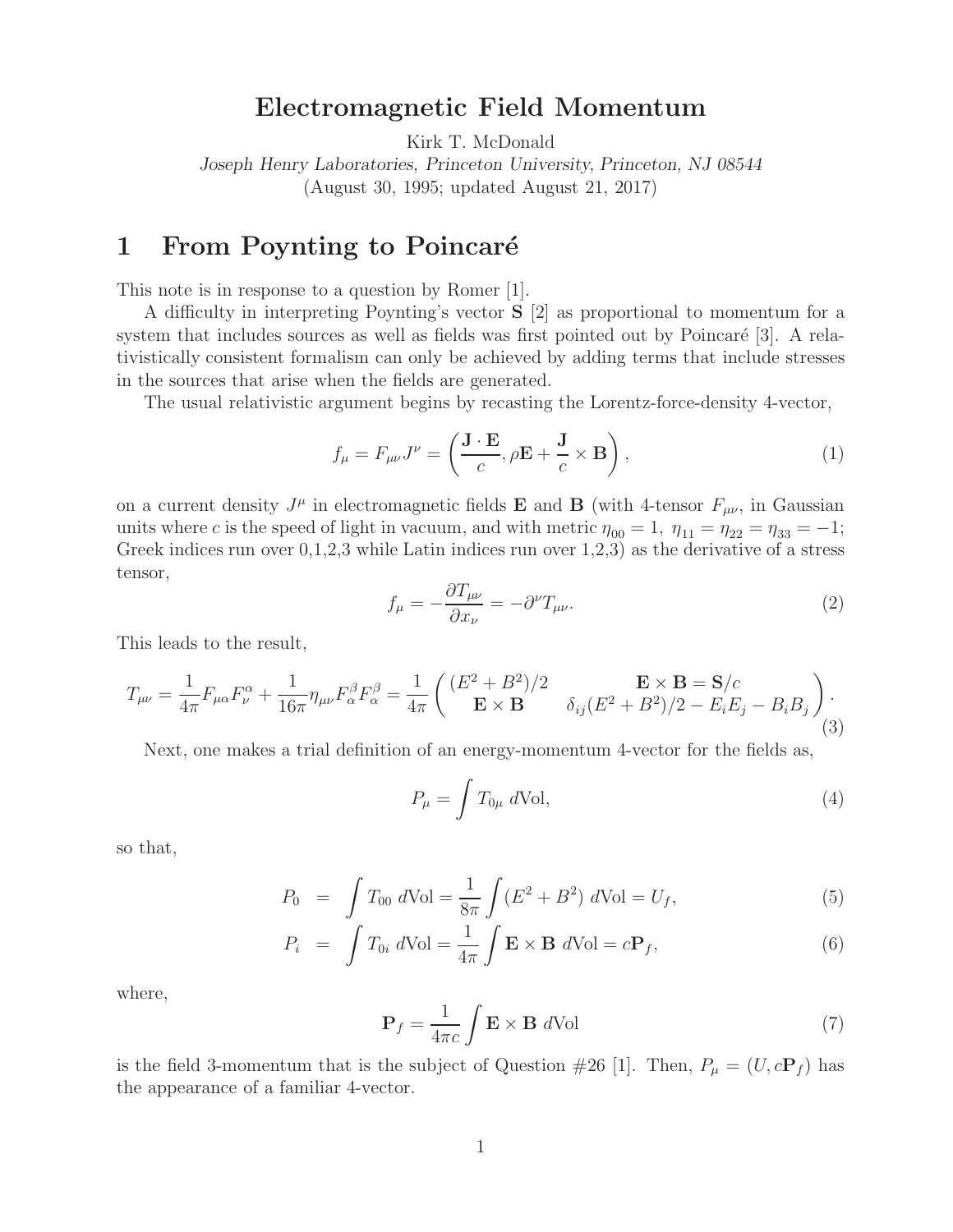## **Electromagnetic Field Momentum**

Kirk T. McDonald

*Joseph Henry Laboratories, Princeton University, Princeton, NJ 08544* (August 30, 1995; updated August 21, 2017)

## **1** From Poynting to Poincaré

This note is in response to a question by Romer [1].

A difficulty in interpreting Poynting's vector **S** [2] as proportional to momentum for a system that includes sources as well as fields was first pointed out by Poincaré  $[3]$ . A relativistically consistent formalism can only be achieved by adding terms that include stresses in the sources that arise when the fields are generated.

The usual relativistic argument begins by recasting the Lorentz-force-density 4-vector,

$$
f_{\mu} = F_{\mu\nu}J^{\nu} = \left(\frac{\mathbf{J} \cdot \mathbf{E}}{c}, \rho \mathbf{E} + \frac{\mathbf{J}}{c} \times \mathbf{B}\right),\tag{1}
$$

on a current density  $J^{\mu}$  in electromagnetic fields **E** and **B** (with 4-tensor  $F_{\mu\nu}$ , in Gaussian units where c is the speed of light in vacuum, and with metric  $\eta_{00} = 1$ ,  $\eta_{11} = \eta_{22} = \eta_{33} = -1$ ; Greek indices run over  $0,1,2,3$  while Latin indices run over  $1,2,3$ ) as the derivative of a stress tensor,

$$
f_{\mu} = -\frac{\partial T_{\mu\nu}}{\partial x_{\nu}} = -\partial^{\nu} T_{\mu\nu}.
$$
\n(2)

This leads to the result,

$$
T_{\mu\nu} = \frac{1}{4\pi} F_{\mu\alpha} F_{\nu}^{\alpha} + \frac{1}{16\pi} \eta_{\mu\nu} F_{\alpha}^{\beta} F_{\alpha}^{\beta} = \frac{1}{4\pi} \begin{pmatrix} (E^2 + B^2)/2 & \mathbf{E} \times \mathbf{B} = \mathbf{S}/c\\ \mathbf{E} \times \mathbf{B} & \delta_{ij} (E^2 + B^2)/2 - E_i E_j - B_i B_j \end{pmatrix} . \tag{3}
$$

Next, one makes a trial definition of an energy-momentum 4-vector for the fields as,

$$
P_{\mu} = \int T_{0\mu} d\text{Vol},\tag{4}
$$

so that,

$$
P_0 = \int T_{00} dVol = \frac{1}{8\pi} \int (E^2 + B^2) dVol = U_f,
$$
\n(5)

$$
P_i = \int T_{0i} dVol = \frac{1}{4\pi} \int \mathbf{E} \times \mathbf{B} dVol = c \mathbf{P}_f,
$$
 (6)

where,

$$
\mathbf{P}_f = \frac{1}{4\pi c} \int \mathbf{E} \times \mathbf{B} \ d\text{Vol} \tag{7}
$$

is the field 3-momentum that is the subject of Question #26 [1]. Then,  $P_{\mu} = (U, c\mathbf{P}_f)$  has the appearance of a familiar 4-vector.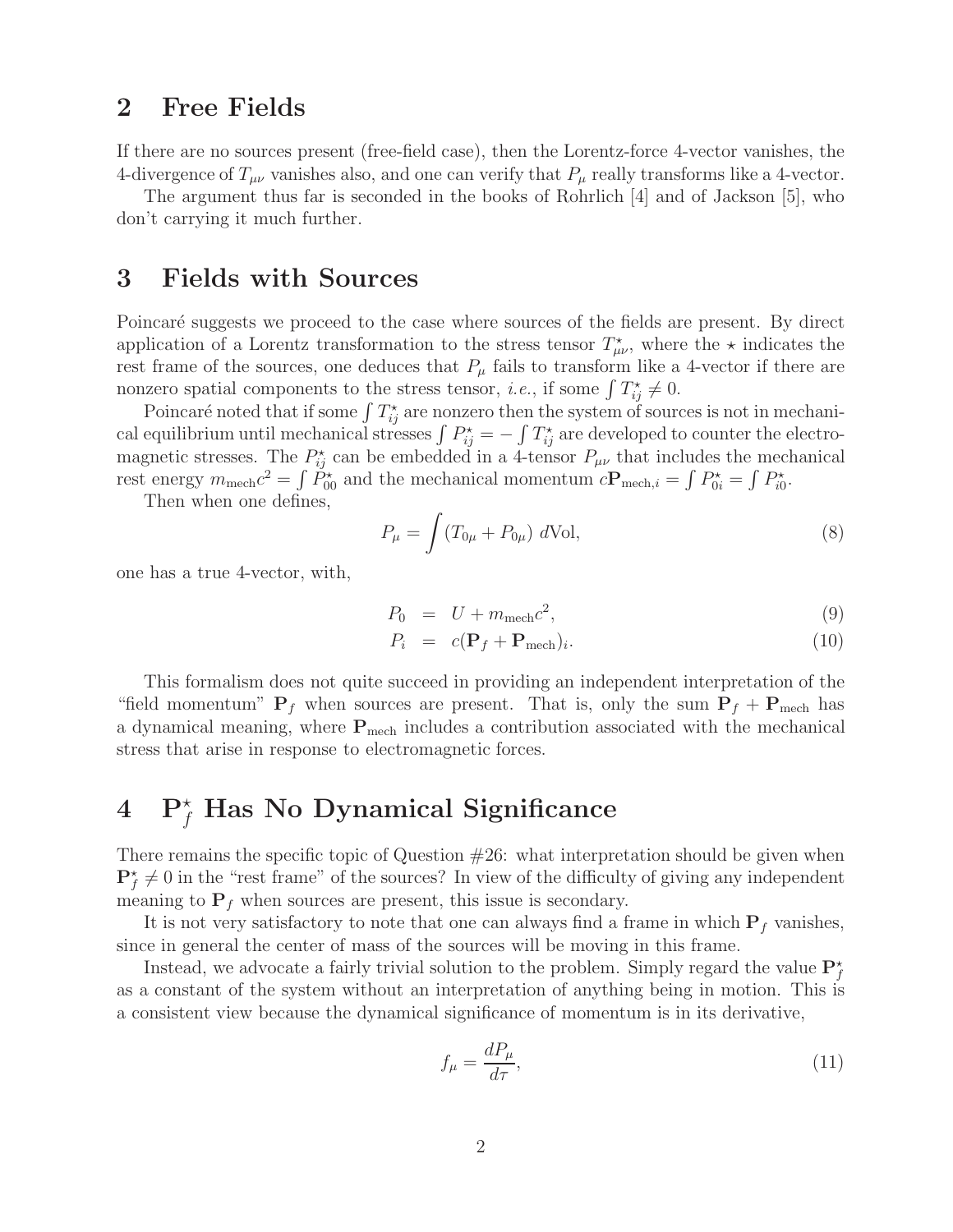# **2 Free Fields**

If there are no sources present (free-field case), then the Lorentz-force 4-vector vanishes, the 4-divergence of  $T_{\mu\nu}$  vanishes also, and one can verify that  $P_{\mu}$  really transforms like a 4-vector.

The argument thus far is seconded in the books of Rohrlich [4] and of Jackson [5], who don't carrying it much further.

## **3 Fields with Sources**

Poincaré suggests we proceed to the case where sources of the fields are present. By direct application of a Lorentz transformation to the stress tensor  $T^{\star}_{\mu\nu}$ , where the  $\star$  indicates the rest frame of the sources, one deduces that  $P_\mu$  fails to transform like a 4-vector if there are nonzero spatial components to the stress tensor, *i.e.*, if some  $\int T_{ij}^* \neq 0$ .

Poincaré noted that if some  $\int T_{ij}^{\star}$  are nonzero then the system of sources is not in mechanical equilibrium until mechanical stresses  $\int P_{ij}^{\star} = -\int T_{ij}^{\star}$  are developed to counter the electromagnetic stresses. The  $P_{ij}^{\star}$  can be embedded in a 4-tensor  $P_{\mu\nu}$  that includes the mechanical rest energy  $m_{\text{mech}}c^2 = \int \tilde{P}_{00}^{\star}$  and the mechanical momentum  $c\mathbf{P}_{\text{mech},i} = \int P_{0i}^{\star} = \int P_{i0}^{\star}$ .

Then when one defines,

$$
P_{\mu} = \int (T_{0\mu} + P_{0\mu}) \ d\text{Vol}, \tag{8}
$$

one has a true 4-vector, with,

$$
P_0 = U + m_{\text{mech}}c^2,\tag{9}
$$

$$
P_i = c(\mathbf{P}_f + \mathbf{P}_{\text{mech}})_i.
$$
\n(10)

This formalism does not quite succeed in providing an independent interpretation of the "field momentum"  $P_f$  when sources are present. That is, only the sum  $P_f + P_{\text{mech}}$  has a dynamical meaning, where  $P_{\text{mech}}$  includes a contribution associated with the mechanical stress that arise in response to electromagnetic forces.

# **4 P** <sup>f</sup> **Has No Dynamical Significance**

There remains the specific topic of Question  $#26$ : what interpretation should be given when  $\mathbf{P}_f^{\star} \neq 0$  in the "rest frame" of the sources? In view of the difficulty of giving any independent meaning to  $P_f$  when sources are present, this issue is secondary.

It is not very satisfactory to note that one can always find a frame in which  $P_f$  vanishes, since in general the center of mass of the sources will be moving in this frame.

Instead, we advocate a fairly trivial solution to the problem. Simply regard the value  $\mathbf{P}_f^{\star}$ as a constant of the system without an interpretation of anything being in motion. This is a consistent view because the dynamical significance of momentum is in its derivative,

$$
f_{\mu} = \frac{dP_{\mu}}{d\tau},\tag{11}
$$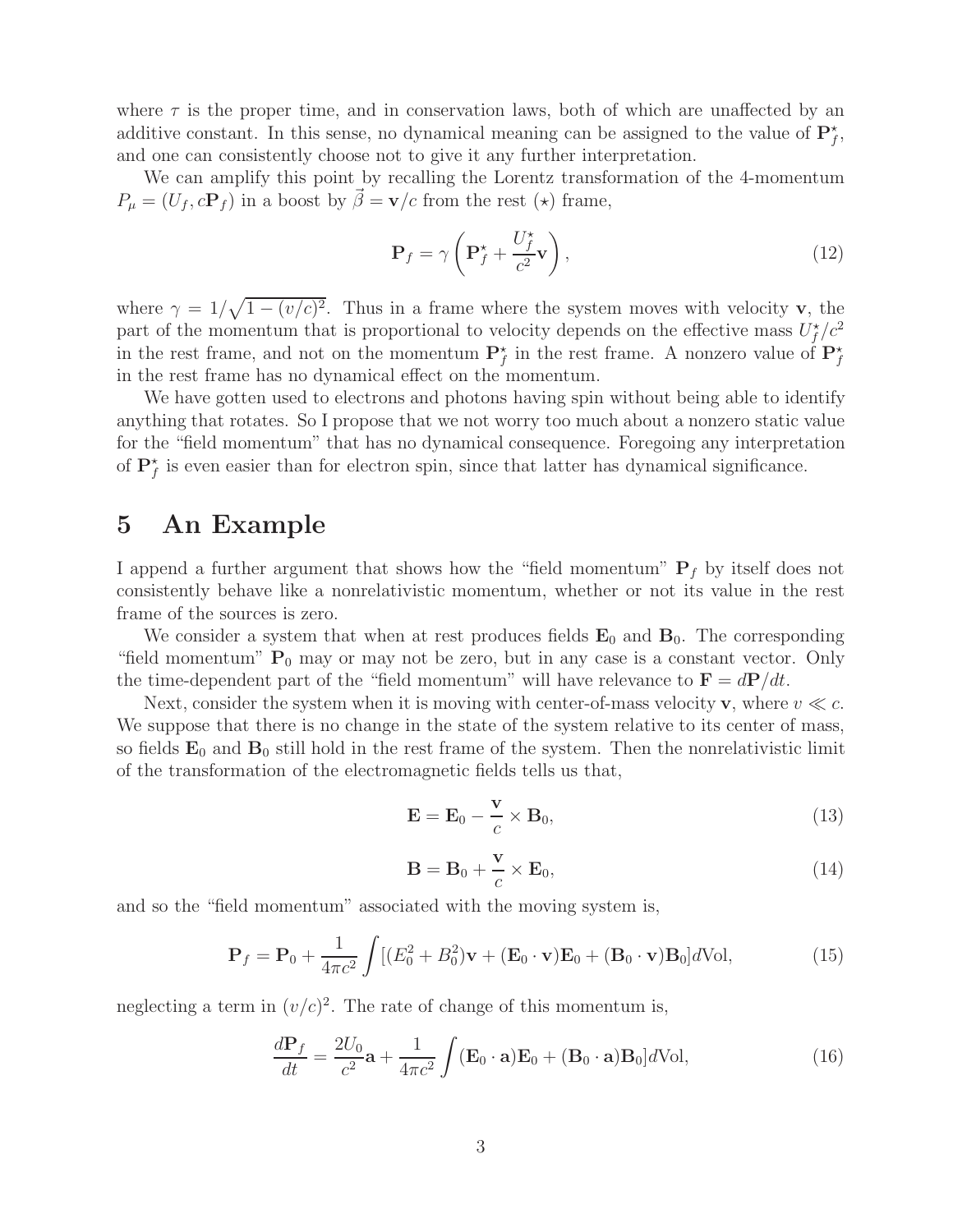where  $\tau$  is the proper time, and in conservation laws, both of which are unaffected by an additive constant. In this sense, no dynamical meaning can be assigned to the value of  $\mathbf{P}_f^{\star}$ , and one can consistently choose not to give it any further interpretation.

We can amplify this point by recalling the Lorentz transformation of the 4-momentum  $P_{\mu} = (U_f, c\mathbf{P}_f)$  in a boost by  $\vec{\beta} = \mathbf{v}/c$  from the rest  $(\star)$  frame,

$$
\mathbf{P}_f = \gamma \left( \mathbf{P}_f^{\star} + \frac{U_f^{\star}}{c^2} \mathbf{v} \right),\tag{12}
$$

where  $\gamma = 1/\sqrt{1-(v/c)^2}$ . Thus in a frame where the system moves with velocity **v**, the part of the momentum that is proportional to velocity depends on the effective mass  $U_f^{\star}/c^2$ in the rest frame, and not on the momentum  $\mathbf{P}_f^*$  in the rest frame. A nonzero value of  $\mathbf{P}_f^*$ in the rest frame has no dynamical effect on the momentum.

We have gotten used to electrons and photons having spin without being able to identify anything that rotates. So I propose that we not worry too much about a nonzero static value for the "field momentum" that has no dynamical consequence. Foregoing any interpretation of  $\mathbf{P}_f^{\star}$  is even easier than for electron spin, since that latter has dynamical significance.

#### **5 An Example**

I append a further argument that shows how the "field momentum"  $P_f$  by itself does not consistently behave like a nonrelativistic momentum, whether or not its value in the rest frame of the sources is zero.

We consider a system that when at rest produces fields  $\mathbf{E}_0$  and  $\mathbf{B}_0$ . The corresponding "field momentum"  $P_0$  may or may not be zero, but in any case is a constant vector. Only the time-dependent part of the "field momentum" will have relevance to  $\mathbf{F} = d\mathbf{P}/dt$ .

Next, consider the system when it is moving with center-of-mass velocity **v**, where  $v \ll c$ . We suppose that there is no change in the state of the system relative to its center of mass, so fields  $\mathbf{E}_0$  and  $\mathbf{B}_0$  still hold in the rest frame of the system. Then the nonrelativistic limit of the transformation of the electromagnetic fields tells us that,

$$
\mathbf{E} = \mathbf{E}_0 - \frac{\mathbf{v}}{c} \times \mathbf{B}_0, \tag{13}
$$

$$
\mathbf{B} = \mathbf{B}_0 + \frac{\mathbf{v}}{c} \times \mathbf{E}_0, \tag{14}
$$

and so the "field momentum" associated with the moving system is,

$$
\mathbf{P}_f = \mathbf{P}_0 + \frac{1}{4\pi c^2} \int \left[ (E_0^2 + B_0^2) \mathbf{v} + (\mathbf{E}_0 \cdot \mathbf{v}) \mathbf{E}_0 + (\mathbf{B}_0 \cdot \mathbf{v}) \mathbf{B}_0 \right] d\text{Vol},\tag{15}
$$

neglecting a term in  $(v/c)^2$ . The rate of change of this momentum is,

$$
\frac{d\mathbf{P}_f}{dt} = \frac{2U_0}{c^2}\mathbf{a} + \frac{1}{4\pi c^2} \int (\mathbf{E}_0 \cdot \mathbf{a}) \mathbf{E}_0 + (\mathbf{B}_0 \cdot \mathbf{a}) \mathbf{B}_0] d\text{Vol},\tag{16}
$$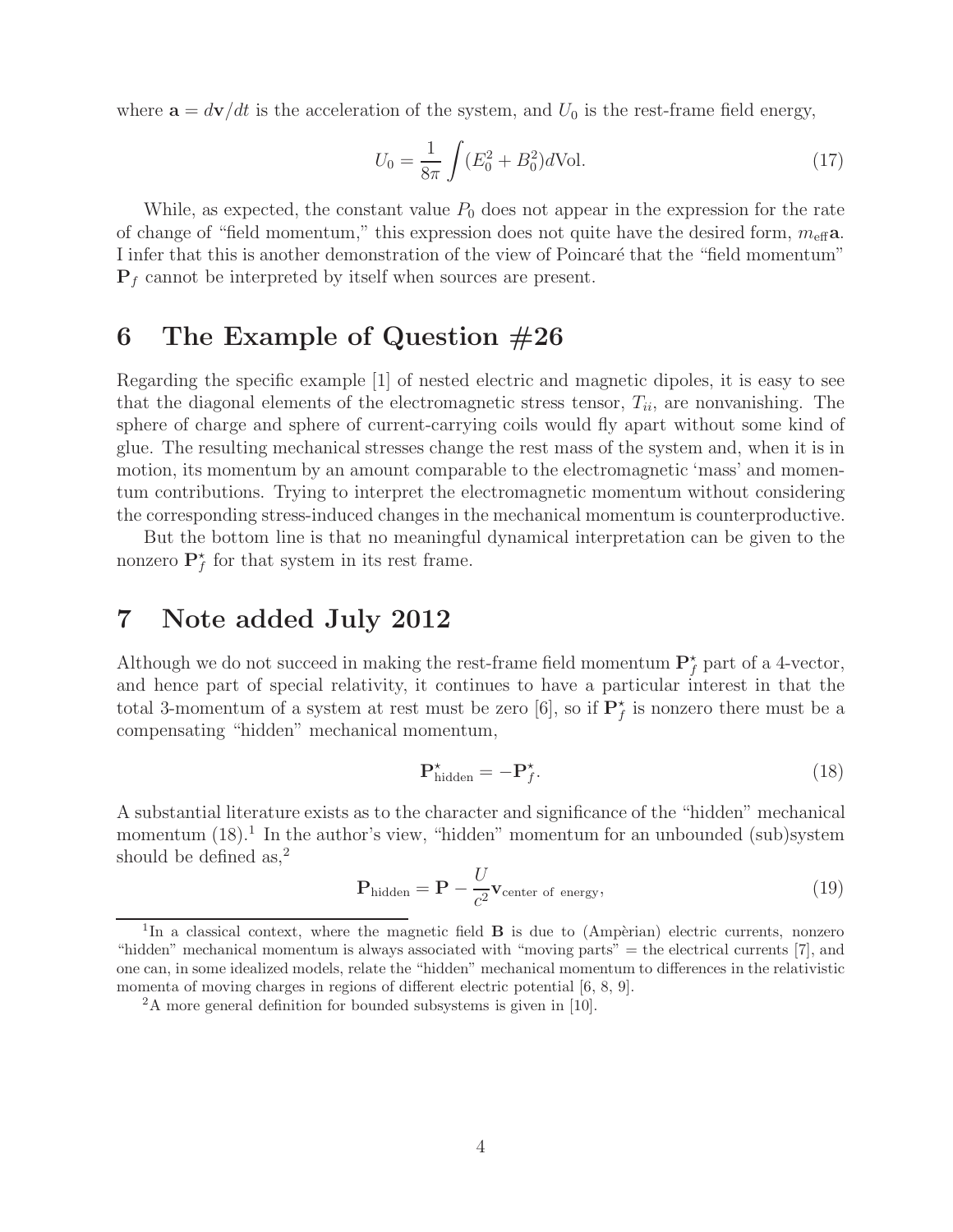where  $\mathbf{a} = d\mathbf{v}/dt$  is the acceleration of the system, and  $U_0$  is the rest-frame field energy,

$$
U_0 = \frac{1}{8\pi} \int (E_0^2 + B_0^2) d\text{Vol}.
$$
 (17)

While, as expected, the constant value  $P_0$  does not appear in the expression for the rate of change of "field momentum," this expression does not quite have the desired form,  $m_{\text{eff}}$ a. I infer that this is another demonstration of the view of Poincaré that the "field momentum"  $P_f$  cannot be interpreted by itself when sources are present.

## **6 The Example of Question #26**

Regarding the specific example [1] of nested electric and magnetic dipoles, it is easy to see that the diagonal elements of the electromagnetic stress tensor,  $T_{ii}$ , are nonvanishing. The sphere of charge and sphere of current-carrying coils would fly apart without some kind of glue. The resulting mechanical stresses change the rest mass of the system and, when it is in motion, its momentum by an amount comparable to the electromagnetic 'mass' and momentum contributions. Trying to interpret the electromagnetic momentum without considering the corresponding stress-induced changes in the mechanical momentum is counterproductive.

But the bottom line is that no meaningful dynamical interpretation can be given to the nonzero  $\mathbf{P}_f^*$  for that system in its rest frame.

# **7 Note added July 2012**

Although we do not succeed in making the rest-frame field momentum  $\mathbf{P}_f^*$  part of a 4-vector, and hence part of special relativity, it continues to have a particular interest in that the total 3-momentum of a system at rest must be zero  $[6]$ , so if  $\mathbf{P}_f^{\star}$  is nonzero there must be a compensating "hidden" mechanical momentum,

$$
\mathbf{P}_{\text{hidden}}^{\star} = -\mathbf{P}_{f}^{\star}.\tag{18}
$$

A substantial literature exists as to the character and significance of the "hidden" mechanical momentum  $(18)$ .<sup>1</sup> In the author's view, "hidden" momentum for an unbounded (sub)system should be defined as, $^{2}$ 

$$
\mathbf{P}_{\text{hidden}} = \mathbf{P} - \frac{U}{c^2} \mathbf{v}_{\text{center of energy}},\tag{19}
$$

<sup>&</sup>lt;sup>1</sup>In a classical context, where the magnetic field **B** is due to (Ampèrian) electric currents, nonzero "hidden" mechanical momentum is always associated with "moving parts" = the electrical currents [7], and one can, in some idealized models, relate the "hidden" mechanical momentum to differences in the relativistic momenta of moving charges in regions of different electric potential [6, 8, 9].

<sup>&</sup>lt;sup>2</sup>A more general definition for bounded subsystems is given in [10].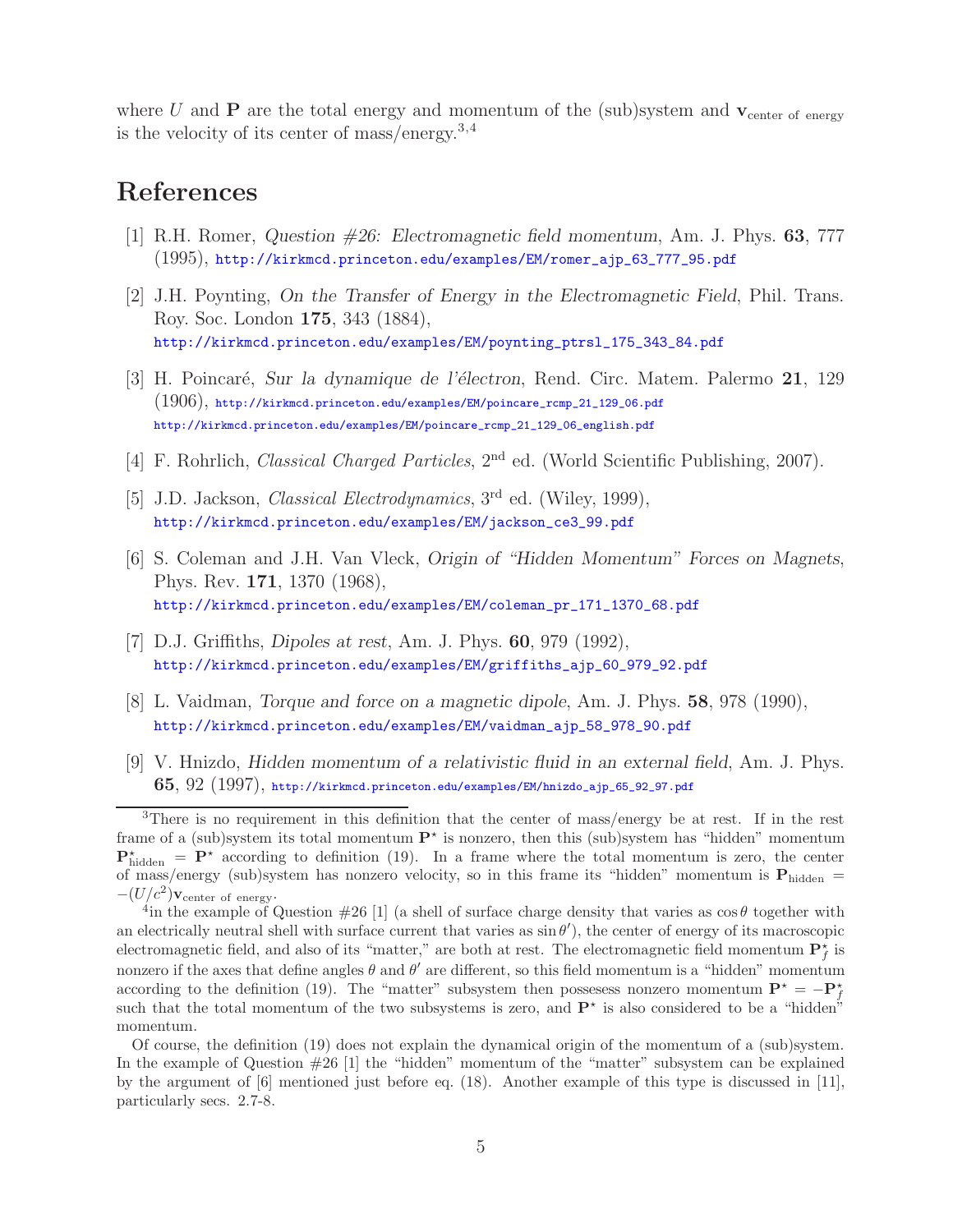where U and **P** are the total energy and momentum of the (sub)system and  $v_{\text{center of energy}}$ is the velocity of its center of mass/energy.3,4

# **References**

- [1] R.H. Romer, *Question #26: Electromagnetic field momentum*, Am. J. Phys. **63**, 777 (1995), http://kirkmcd.princeton.edu/examples/EM/romer\_ajp\_63\_777\_95.pdf
- [2] J.H. Poynting, *On the Transfer of Energy in the Electromagnetic Field*, Phil. Trans. Roy. Soc. London **175**, 343 (1884), http://kirkmcd.princeton.edu/examples/EM/poynting\_ptrsl\_175\_343\_84.pdf
- [3] H. Poincar´e, *Sur la dynamique de l'´electron*, Rend. Circ. Matem. Palermo **21**, 129  $(1906)$ , http://kirkmcd.princeton.edu/examples/EM/poincare\_rcmp\_21\_129\_06.pdf http://kirkmcd.princeton.edu/examples/EM/poincare\_rcmp\_21\_129\_06\_english.pdf
- [4] F. Rohrlich, *Classical Charged Particles*, 2nd ed. (World Scientific Publishing, 2007).
- [5] J.D. Jackson, *Classical Electrodynamics*, 3rd ed. (Wiley, 1999), http://kirkmcd.princeton.edu/examples/EM/jackson\_ce3\_99.pdf
- [6] S. Coleman and J.H. Van Vleck, *Origin of "Hidden Momentum" Forces on Magnets*, Phys. Rev. **171**, 1370 (1968), http://kirkmcd.princeton.edu/examples/EM/coleman\_pr\_171\_1370\_68.pdf
- [7] D.J. Griffiths, *Dipoles at rest*, Am. J. Phys. **60**, 979 (1992), http://kirkmcd.princeton.edu/examples/EM/griffiths\_ajp\_60\_979\_92.pdf
- [8] L. Vaidman, *Torque and force on a magnetic dipole*, Am. J. Phys. **58**, 978 (1990), http://kirkmcd.princeton.edu/examples/EM/vaidman\_ajp\_58\_978\_90.pdf
- [9] V. Hnizdo, *Hidden momentum of a relativistic fluid in an external field*, Am. J. Phys. **65**, 92 (1997), http://kirkmcd.princeton.edu/examples/EM/hnizdo\_ajp\_65\_92\_97.pdf

<sup>3</sup>There is no requirement in this definition that the center of mass/energy be at rest. If in the rest frame of a (sub)system its total momentum  $\mathbf{P}^{\star}$  is nonzero, then this (sub)system has "hidden" momentum  $\mathbf{P}_{\text{hidden}}^{\star} = \mathbf{P}^{\star}$  according to definition (19). In a frame where the total momentum is zero, the center of mass/energy (sub)system has nonzero velocity, so in this frame its "hidden" momentum is  $P_{hidden} = -(U/c^2) V_{center \text{ of energy}}$ .

<sup>&</sup>lt;sup>4</sup>in the example of Question #26 [1] (a shell of surface charge density that varies as  $\cos \theta$  together with an electrically neutral shell with surface current that varies as  $\sin \theta'$ , the center of energy of its macroscopic electromagnetic field, and also of its "matter," are both at rest. The electromagnetic field momentum  $\mathbf{P}_f^{\star}$  is nonzero if the axes that define angles  $\theta$  and  $\theta'$  are different, so this field momentum is a "hidden" momentum according to the definition (19). The "matter" subsystem then possessess nonzero momentum  $\mathbf{P}^* = -\mathbf{P}^*$ such that the total momentum of the two subsystems is zero, and  $\mathbf{P}^{\star}$  is also considered to be a "hidden" momentum.

Of course, the definition (19) does not explain the dynamical origin of the momentum of a (sub)system. In the example of Question #26 [1] the "hidden" momentum of the "matter" subsystem can be explained by the argument of [6] mentioned just before eq. (18). Another example of this type is discussed in [11], particularly secs. 2.7-8.